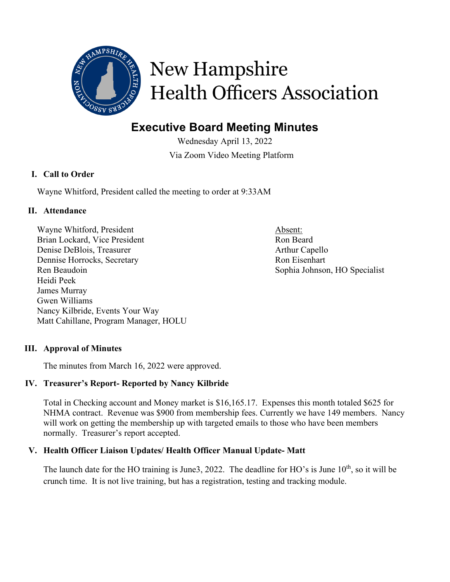

# New Hampshire **Health Officers Association**

# **Executive Board Meeting Minutes**

Wednesday April 13, 2022 Via Zoom Video Meeting Platform

# **I. Call to Order**

Wayne Whitford, President called the meeting to order at 9:33AM

# **II. Attendance**

Wayne Whitford, President Absent: Brian Lockard, Vice President Ron Beard Denise DeBlois, Treasurer Arthur Capello Dennise Horrocks, Secretary **Ron** Eisenhart Ren Beaudoin Sophia Johnson, HO Specialist Heidi Peek James Murray Gwen Williams Nancy Kilbride, Events Your Way Matt Cahillane, Program Manager, HOLU

# **III. Approval of Minutes**

The minutes from March 16, 2022 were approved.

## **IV. Treasurer's Report- Reported by Nancy Kilbride**

Total in Checking account and Money market is \$16,165.17. Expenses this month totaled \$625 for NHMA contract. Revenue was \$900 from membership fees. Currently we have 149 members. Nancy will work on getting the membership up with targeted emails to those who have been members normally. Treasurer's report accepted.

# **V. Health Officer Liaison Updates/ Health Officer Manual Update- Matt**

The launch date for the HO training is June3, 2022. The deadline for HO's is June  $10<sup>th</sup>$ , so it will be crunch time. It is not live training, but has a registration, testing and tracking module.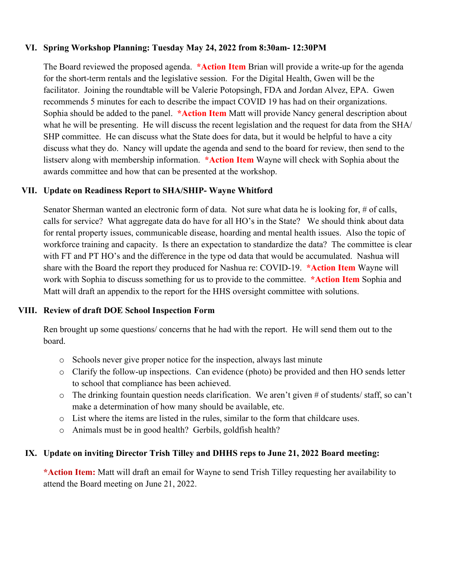#### **VI. Spring Workshop Planning: Tuesday May 24, 2022 from 8:30am- 12:30PM**

The Board reviewed the proposed agenda. **\*Action Item** Brian will provide a write-up for the agenda for the short-term rentals and the legislative session. For the Digital Health, Gwen will be the facilitator. Joining the roundtable will be Valerie Potopsingh, FDA and Jordan Alvez, EPA. Gwen recommends 5 minutes for each to describe the impact COVID 19 has had on their organizations. Sophia should be added to the panel. **\*Action Item** Matt will provide Nancy general description about what he will be presenting. He will discuss the recent legislation and the request for data from the SHA/ SHP committee. He can discuss what the State does for data, but it would be helpful to have a city discuss what they do. Nancy will update the agenda and send to the board for review, then send to the listserv along with membership information. **\*Action Item** Wayne will check with Sophia about the awards committee and how that can be presented at the workshop.

## **VII. Update on Readiness Report to SHA/SHIP- Wayne Whitford**

Senator Sherman wanted an electronic form of data. Not sure what data he is looking for, # of calls, calls for service? What aggregate data do have for all HO's in the State? We should think about data for rental property issues, communicable disease, hoarding and mental health issues. Also the topic of workforce training and capacity. Is there an expectation to standardize the data? The committee is clear with FT and PT HO's and the difference in the type od data that would be accumulated. Nashua will share with the Board the report they produced for Nashua re: COVID-19. **\*Action Item** Wayne will work with Sophia to discuss something for us to provide to the committee. **\*Action Item** Sophia and Matt will draft an appendix to the report for the HHS oversight committee with solutions.

## **VIII. Review of draft DOE School Inspection Form**

Ren brought up some questions/ concerns that he had with the report. He will send them out to the board.

- o Schools never give proper notice for the inspection, always last minute
- o Clarify the follow-up inspections. Can evidence (photo) be provided and then HO sends letter to school that compliance has been achieved.
- $\circ$  The drinking fountain question needs clarification. We aren't given # of students/ staff, so can't make a determination of how many should be available, etc.
- o List where the items are listed in the rules, similar to the form that childcare uses.
- o Animals must be in good health? Gerbils, goldfish health?

## **IX. Update on inviting Director Trish Tilley and DHHS reps to June 21, 2022 Board meeting:**

**\*Action Item:** Matt will draft an email for Wayne to send Trish Tilley requesting her availability to attend the Board meeting on June 21, 2022.